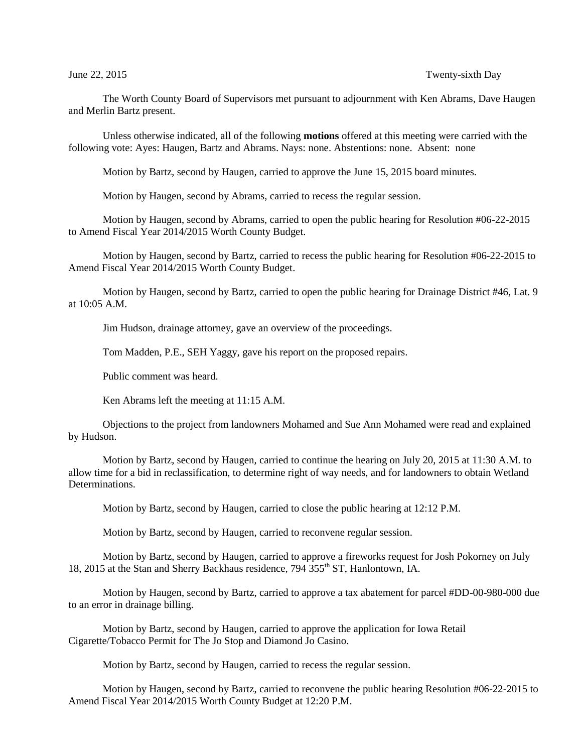## June 22, 2015 Twenty-sixth Day

The Worth County Board of Supervisors met pursuant to adjournment with Ken Abrams, Dave Haugen and Merlin Bartz present.

Unless otherwise indicated, all of the following **motions** offered at this meeting were carried with the following vote: Ayes: Haugen, Bartz and Abrams. Nays: none. Abstentions: none. Absent: none

Motion by Bartz, second by Haugen, carried to approve the June 15, 2015 board minutes.

Motion by Haugen, second by Abrams, carried to recess the regular session.

Motion by Haugen, second by Abrams, carried to open the public hearing for Resolution #06-22-2015 to Amend Fiscal Year 2014/2015 Worth County Budget.

Motion by Haugen, second by Bartz, carried to recess the public hearing for Resolution #06-22-2015 to Amend Fiscal Year 2014/2015 Worth County Budget.

Motion by Haugen, second by Bartz, carried to open the public hearing for Drainage District #46, Lat. 9 at 10:05 A.M.

Jim Hudson, drainage attorney, gave an overview of the proceedings.

Tom Madden, P.E., SEH Yaggy, gave his report on the proposed repairs.

Public comment was heard.

Ken Abrams left the meeting at 11:15 A.M.

Objections to the project from landowners Mohamed and Sue Ann Mohamed were read and explained by Hudson.

Motion by Bartz, second by Haugen, carried to continue the hearing on July 20, 2015 at 11:30 A.M. to allow time for a bid in reclassification, to determine right of way needs, and for landowners to obtain Wetland Determinations.

Motion by Bartz, second by Haugen, carried to close the public hearing at 12:12 P.M.

Motion by Bartz, second by Haugen, carried to reconvene regular session.

Motion by Bartz, second by Haugen, carried to approve a fireworks request for Josh Pokorney on July 18, 2015 at the Stan and Sherry Backhaus residence, 794 355<sup>th</sup> ST, Hanlontown, IA.

Motion by Haugen, second by Bartz, carried to approve a tax abatement for parcel #DD-00-980-000 due to an error in drainage billing.

Motion by Bartz, second by Haugen, carried to approve the application for Iowa Retail Cigarette/Tobacco Permit for The Jo Stop and Diamond Jo Casino.

Motion by Bartz, second by Haugen, carried to recess the regular session.

Motion by Haugen, second by Bartz, carried to reconvene the public hearing Resolution #06-22-2015 to Amend Fiscal Year 2014/2015 Worth County Budget at 12:20 P.M.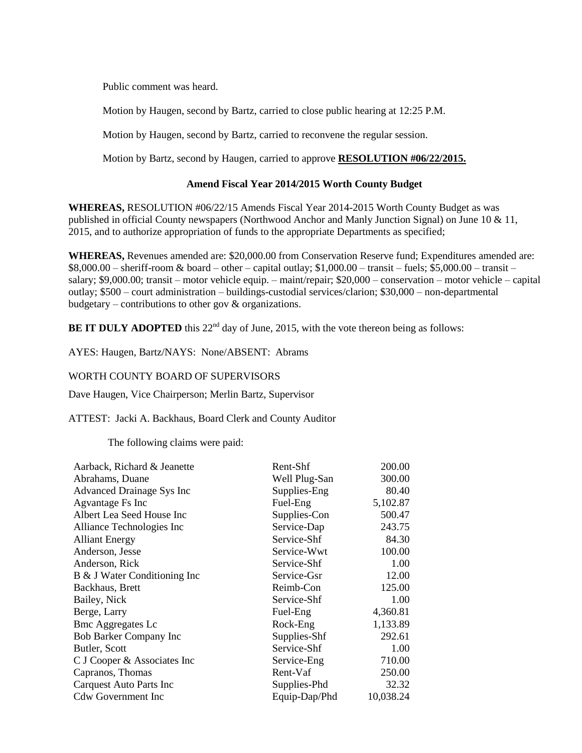Public comment was heard.

Motion by Haugen, second by Bartz, carried to close public hearing at 12:25 P.M.

Motion by Haugen, second by Bartz, carried to reconvene the regular session.

Motion by Bartz, second by Haugen, carried to approve **RESOLUTION #06/22/2015.**

## **Amend Fiscal Year 2014/2015 Worth County Budget**

**WHEREAS,** RESOLUTION #06/22/15 Amends Fiscal Year 2014-2015 Worth County Budget as was published in official County newspapers (Northwood Anchor and Manly Junction Signal) on June 10 & 11, 2015, and to authorize appropriation of funds to the appropriate Departments as specified;

**WHEREAS,** Revenues amended are: \$20,000.00 from Conservation Reserve fund; Expenditures amended are:  $$8,000.00 - \text{sheriff-room}$ & board – other – capital outlay;  $$1,000.00 - \text{transit} - \text{fuels}; $5,000.00 - \text{transit} - \text{fuchs}}$ salary; \$9,000.00; transit – motor vehicle equip. – maint/repair; \$20,000 – conservation – motor vehicle – capital outlay; \$500 – court administration – buildings-custodial services/clarion; \$30,000 – non-departmental budgetary – contributions to other gov & organizations.

**BE IT DULY ADOPTED** this  $22<sup>nd</sup>$  day of June, 2015, with the vote thereon being as follows:

AYES: Haugen, Bartz/NAYS: None/ABSENT: Abrams

## WORTH COUNTY BOARD OF SUPERVISORS

Dave Haugen, Vice Chairperson; Merlin Bartz, Supervisor

ATTEST: Jacki A. Backhaus, Board Clerk and County Auditor

The following claims were paid:

| Aarback, Richard & Jeanette      | Rent-Shf      | 200.00    |
|----------------------------------|---------------|-----------|
| Abrahams, Duane                  | Well Plug-San | 300.00    |
| <b>Advanced Drainage Sys Inc</b> | Supplies-Eng  | 80.40     |
| Agvantage Fs Inc                 | Fuel-Eng      | 5,102.87  |
| Albert Lea Seed House Inc        | Supplies-Con  | 500.47    |
| Alliance Technologies Inc        | Service-Dap   | 243.75    |
| <b>Alliant Energy</b>            | Service-Shf   | 84.30     |
| Anderson, Jesse                  | Service-Wwt   | 100.00    |
| Anderson, Rick                   | Service-Shf   | 1.00      |
| B & J Water Conditioning Inc     | Service-Gsr   | 12.00     |
| Backhaus, Brett                  | Reimb-Con     | 125.00    |
| Bailey, Nick                     | Service-Shf   | 1.00      |
| Berge, Larry                     | Fuel-Eng      | 4,360.81  |
| <b>Bmc Aggregates Lc</b>         | Rock-Eng      | 1,133.89  |
| <b>Bob Barker Company Inc</b>    | Supplies-Shf  | 292.61    |
| Butler, Scott                    | Service-Shf   | 1.00      |
| C J Cooper & Associates Inc      | Service-Eng   | 710.00    |
| Capranos, Thomas                 | Rent-Vaf      | 250.00    |
| <b>Carquest Auto Parts Inc</b>   | Supplies-Phd  | 32.32     |
| <b>Cdw Government Inc</b>        | Equip-Dap/Phd | 10,038.24 |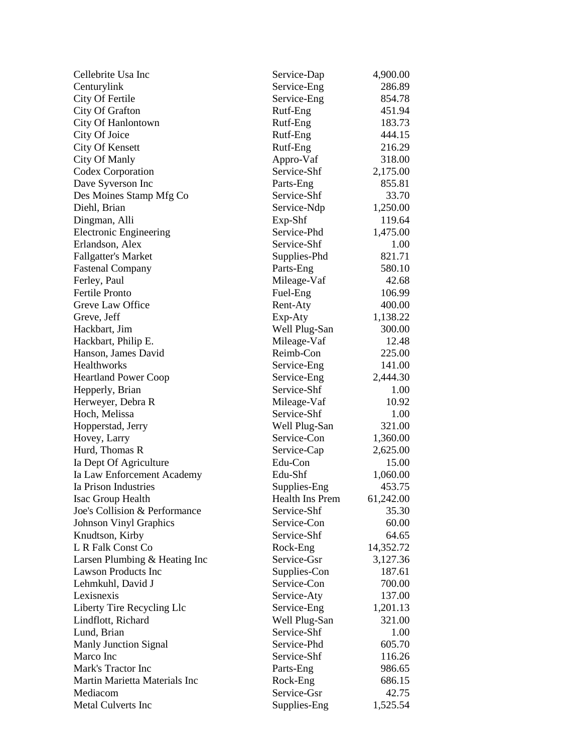| Cellebrite Usa Inc            | Service-Dap     | 4,900.00           |
|-------------------------------|-----------------|--------------------|
| Centurylink                   | Service-Eng     | 286.89             |
| City Of Fertile               | Service-Eng     | 854.78             |
| City Of Grafton               | Rutf-Eng        | 451.94             |
| City Of Hanlontown            | Rutf-Eng        | 183.73             |
| City Of Joice                 | Rutf-Eng        | 444.15             |
| City Of Kensett               | Rutf-Eng        | 216.29             |
| City Of Manly                 | Appro-Vaf       | 318.00             |
| Codex Corporation             | Service-Shf     | 2,175.00           |
| Dave Syverson Inc             | Parts-Eng       | 855.81             |
| Des Moines Stamp Mfg Co       | Service-Shf     | 33.70              |
| Diehl, Brian                  | Service-Ndp     | 1,250.00           |
| Dingman, Alli                 | Exp-Shf         | 119.64             |
| <b>Electronic Engineering</b> | Service-Phd     | 1,475.00           |
| Erlandson, Alex               | Service-Shf     | 1.00               |
| <b>Fallgatter's Market</b>    | Supplies-Phd    | 821.71             |
| <b>Fastenal Company</b>       | Parts-Eng       | 580.10             |
| Ferley, Paul                  | Mileage-Vaf     | 42.68              |
| <b>Fertile Pronto</b>         | Fuel-Eng        | 106.99             |
| Greve Law Office              | Rent-Aty        | 400.00             |
| Greve, Jeff                   | Exp-Aty         | 1,138.22           |
| Hackbart, Jim                 | Well Plug-San   | 300.00             |
| Hackbart, Philip E.           | Mileage-Vaf     | 12.48              |
| Hanson, James David           | Reimb-Con       | 225.00             |
| Healthworks                   | Service-Eng     | 141.00             |
| <b>Heartland Power Coop</b>   | Service-Eng     | 2,444.30           |
| Hepperly, Brian               | Service-Shf     | 1.00               |
| Herweyer, Debra R             | Mileage-Vaf     | 10.92              |
| Hoch, Melissa                 | Service-Shf     | 1.00               |
| Hopperstad, Jerry             | Well Plug-San   | 321.00             |
| Hovey, Larry                  | Service-Con     | 1,360.00           |
| Hurd, Thomas R                | Service-Cap     | 2,625.00           |
| Ia Dept Of Agriculture        | Edu-Con         | 15.00              |
| Ia Law Enforcement Academy    | Edu-Shf         | 1,060.00           |
| Ia Prison Industries          | Supplies-Eng    | 453.75             |
| Isac Group Health             | Health Ins Prem |                    |
| Joe's Collision & Performance | Service-Shf     | 61,242.00<br>35.30 |
|                               | Service-Con     |                    |
| <b>Johnson Vinyl Graphics</b> |                 | 60.00              |
| Knudtson, Kirby               | Service-Shf     | 64.65              |
| L R Falk Const Co             | Rock-Eng        | 14,352.72          |
| Larsen Plumbing & Heating Inc | Service-Gsr     | 3,127.36           |
| <b>Lawson Products Inc</b>    | Supplies-Con    | 187.61             |
| Lehmkuhl, David J             | Service-Con     | 700.00             |
| Lexisnexis                    | Service-Aty     | 137.00             |
| Liberty Tire Recycling Llc    | Service-Eng     | 1,201.13           |
| Lindflott, Richard            | Well Plug-San   | 321.00             |
| Lund, Brian                   | Service-Shf     | 1.00               |
| <b>Manly Junction Signal</b>  | Service-Phd     | 605.70             |
| Marco Inc                     | Service-Shf     | 116.26             |
| Mark's Tractor Inc            | Parts-Eng       | 986.65             |
| Martin Marietta Materials Inc | Rock-Eng        | 686.15             |
| Mediacom                      | Service-Gsr     | 42.75              |
| Metal Culverts Inc            | Supplies-Eng    | 1,525.54           |